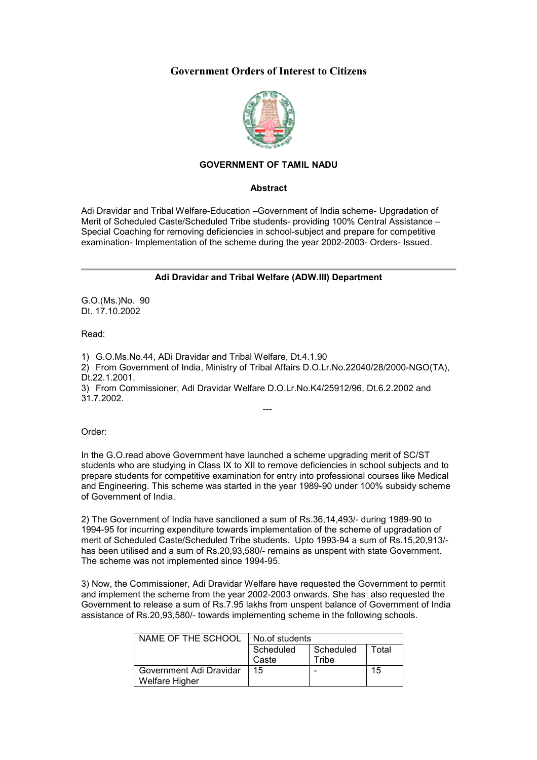## **Government Orders of Interest to Citizens**



## **GOVERNMENT OF TAMIL NADU**

## **Abstract**

Adi Dravidar and Tribal Welfare-Education –Government of India scheme- Upgradation of Merit of Scheduled Caste/Scheduled Tribe students- providing 100% Central Assistance – Special Coaching for removing deficiencies in school-subject and prepare for competitive examination- Implementation of the scheme during the year 2002-2003- Orders- Issued.

## **Adi Dravidar and Tribal Welfare (ADW.III) Department**

G.O.(Ms.)No. 90 Dt. 17.10.2002

Read:

1) G.O.Ms.No.44, ADi Dravidar and Tribal Welfare, Dt.4.1.90

2) From Government of India, Ministry of Tribal Affairs D.O.Lr.No.22040/28/2000-NGO(TA), Dt.22.1.2001.

---

3) From Commissioner, Adi Dravidar Welfare D.O.Lr.No.K4/25912/96, Dt.6.2.2002 and 31.7.2002.

Order:

In the G.O.read above Government have launched a scheme upgrading merit of SC/ST students who are studying in Class IX to XII to remove deficiencies in school subjects and to prepare students for competitive examination for entry into professional courses like Medical and Engineering. This scheme was started in the year 1989-90 under 100% subsidy scheme of Government of India.

2) The Government of India have sanctioned a sum of Rs.36,14,493/- during 1989-90 to 1994-95 for incurring expenditure towards implementation of the scheme of upgradation of merit of Scheduled Caste/Scheduled Tribe students. Upto 1993-94 a sum of Rs.15,20,913/ has been utilised and a sum of Rs.20,93,580/- remains as unspent with state Government. The scheme was not implemented since 1994-95.

3) Now, the Commissioner, Adi Dravidar Welfare have requested the Government to permit and implement the scheme from the year 2002-2003 onwards. She has also requested the Government to release a sum of Rs.7.95 lakhs from unspent balance of Government of India assistance of Rs.20,93,580/- towards implementing scheme in the following schools.

| NAME OF THE SCHOOL      | No.of students |           |       |
|-------------------------|----------------|-----------|-------|
|                         | Scheduled      | Scheduled | Total |
|                         | Caste          | Tribe     |       |
| Government Adi Dravidar | 15             |           | 15    |
| <b>Welfare Higher</b>   |                |           |       |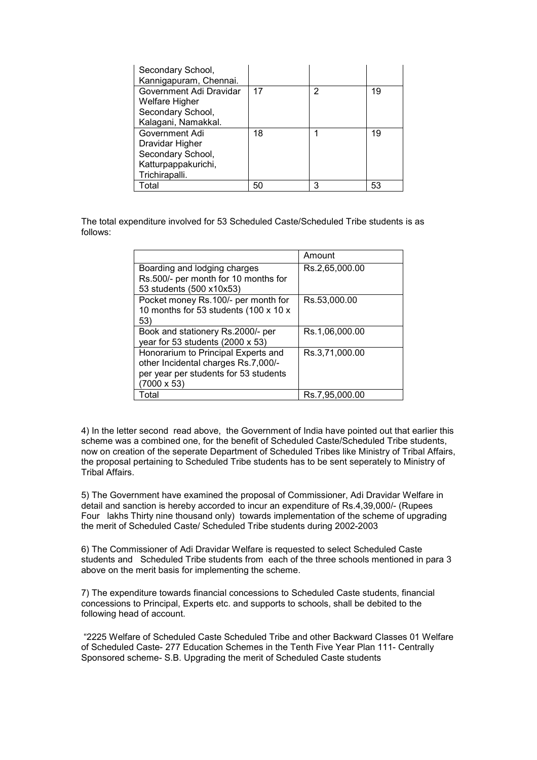| Secondary School,<br>Kannigapuram, Chennai. |    |   |    |
|---------------------------------------------|----|---|----|
| Government Adi Dravidar                     | 17 | 2 | 19 |
| <b>Welfare Higher</b>                       |    |   |    |
| Secondary School,                           |    |   |    |
| Kalagani, Namakkal.                         |    |   |    |
| Government Adi                              | 18 |   | 19 |
| Dravidar Higher                             |    |   |    |
| Secondary School,                           |    |   |    |
| Katturpappakurichi,                         |    |   |    |
| Trichirapalli.                              |    |   |    |
| Total                                       | 50 | 3 | 53 |

The total expenditure involved for 53 Scheduled Caste/Scheduled Tribe students is as follows:

|                                       | Amount         |
|---------------------------------------|----------------|
| Boarding and lodging charges          | Rs.2,65,000.00 |
| Rs.500/- per month for 10 months for  |                |
| 53 students (500 x10x53)              |                |
| Pocket money Rs.100/- per month for   | Rs.53,000.00   |
| 10 months for 53 students (100 x 10 x |                |
| 53)                                   |                |
| Book and stationery Rs.2000/- per     | Rs.1,06,000.00 |
| year for 53 students (2000 x 53)      |                |
| Honorarium to Principal Experts and   | Rs.3,71,000.00 |
| other Incidental charges Rs.7,000/-   |                |
| per year per students for 53 students |                |
| $(7000 \times 53)$                    |                |
| Total                                 | Rs.7.95.000.00 |

4) In the letter second read above, the Government of India have pointed out that earlier this scheme was a combined one, for the benefit of Scheduled Caste/Scheduled Tribe students, now on creation of the seperate Department of Scheduled Tribes like Ministry of Tribal Affairs, the proposal pertaining to Scheduled Tribe students has to be sent seperately to Ministry of Tribal Affairs.

5) The Government have examined the proposal of Commissioner, Adi Dravidar Welfare in detail and sanction is hereby accorded to incur an expenditure of Rs.4,39,000/- (Rupees Four lakhs Thirty nine thousand only) towards implementation of the scheme of upgrading the merit of Scheduled Caste/ Scheduled Tribe students during 2002-2003

6) The Commissioner of Adi Dravidar Welfare is requested to select Scheduled Caste students and Scheduled Tribe students from each of the three schools mentioned in para 3 above on the merit basis for implementing the scheme.

7) The expenditure towards financial concessions to Scheduled Caste students, financial concessions to Principal, Experts etc. and supports to schools, shall be debited to the following head of account.

 "2225 Welfare of Scheduled Caste Scheduled Tribe and other Backward Classes 01 Welfare of Scheduled Caste- 277 Education Schemes in the Tenth Five Year Plan 111- Centrally Sponsored scheme- S.B. Upgrading the merit of Scheduled Caste students